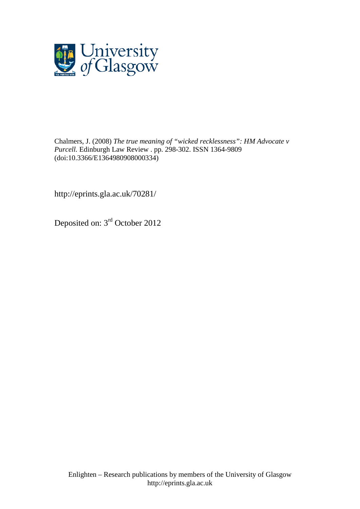

[Chalmers, J.](http://eprints.gla.ac.uk/view/author/28856.html) (2008) *The true meaning of "wicked recklessness": HM Advocate v Purcell.* [Edinburgh Law Review](http://eprints.gla.ac.uk/view/journal_volume/Edinburgh_Law_Review.html) . pp. 298-302. ISSN 1364-9809 (doi[:10.3366/E1364980908000334\)](http://dx.doi.org/10.3366/E1364980908000334)

http://eprints.gla.ac.uk/70281/

Deposited on: 3rd October 2012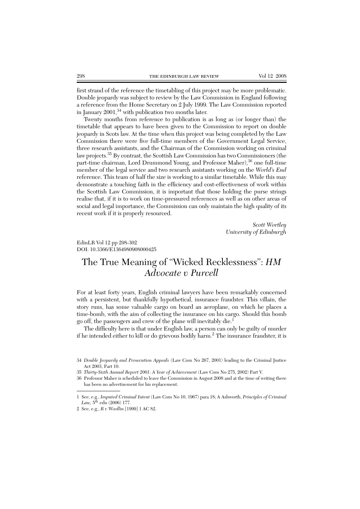first strand of the reference the timetabling of this project may be more problematic. Double jeopardy was subject to review by the Law Commission in England following a reference from the Home Secretary on 2 July 1999. The Law Commission reported in January  $2001$ ,  $34$  with publication two months later.

Twenty months from reference to publication is as long as (or longer than) the timetable that appears to have been given to the Commission to report on double jeopardy in Scots law. At the time when this project was being completed by the Law Commission there were five full-time members of the Government Legal Service, three research assistants, and the Chairman of the Commission working on criminal law projects.35 By contrast, the Scottish Law Commission has two Commissioners (the part-time chairman, Lord Drummond Young, and Professor Maher),<sup>36</sup> one full-time member of the legal service and two research assistants working on the *World's End* reference. This team of half the size is working to a similar timetable. While this may demonstrate a touching faith in the efficiency and cost-effectiveness of work within the Scottish Law Commission, it is important that those holding the purse strings realise that, if it is to work on time-pressured references as well as on other areas of social and legal importance, the Commission can only maintain the high quality of its recent work if it is properly resourced.

> *Scott Wortley University of Edinburgh*

EdinLR Vol 12 pp 298-302 DOI: 10.3366/E1364980908000425

## The True Meaning of "Wicked Recklessness": *HM Advocate v Purcell*

For at least forty years, English criminal lawyers have been remarkably concerned with a persistent, but thankfully hypothetical, insurance fraudster. This villain, the story runs, has some valuable cargo on board an aeroplane, on which he places a time-bomb, with the aim of collecting the insurance on his cargo. Should this bomb go off, the passengers and crew of the plane will inevitably die.1

The difficulty here is that under English law, a person can only be guilty of murder if he intended either to kill or do grievous bodily harm.2 The insurance fraudster, it is

<sup>34</sup> *Double Jeopardy and Prosecution Appeals* (Law Com No 267, 2001) leading to the Criminal Justice Act 2003, Part 10.

<sup>35</sup> *Thirty-Sixth Annual Report 2001: A Year of Achievement* (Law Com No 275, 2002) Part V.

<sup>36</sup> Professor Maher is scheduled to leave the Commission in August 2008 and at the time of writing there has been no advertisement for his replacement.

<sup>1</sup> See, e.g., *Imputed Criminal Intent* (Law Com No 10, 1967) para 18; A Ashworth, *Principles of Criminal Law,* 5th edn (2006) 177.

<sup>2</sup> See, e.g., *R v Woollin* [1999] 1 AC 82.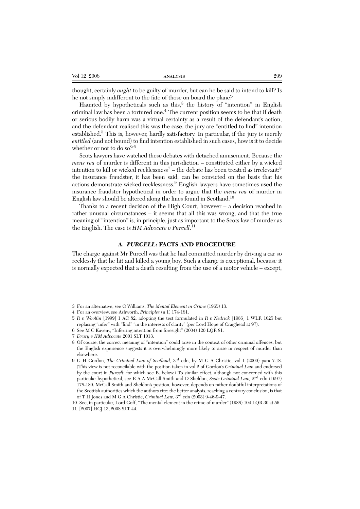| Vol 12 2008<br>ANALYSIS | 299 |
|-------------------------|-----|
|-------------------------|-----|

thought, certainly *ought* to be guilty of murder, but can he be said to intend to kill? Is he not simply indifferent to the fate of those on board the plane?

Haunted by hypotheticals such as this, $3$  the history of "intention" in English criminal law has been a tortured one.<sup>4</sup> The current position seems to be that if death or serious bodily harm was a virtual certainty as a result of the defendant's action, and the defendant realised this was the case, the jury are "entitled to find" intention established.<sup>5</sup> This is, however, hardly satisfactory. In particular, if the jury is merely *entitled* (and not bound) to find intention established in such cases, how is it to decide whether or not to do so?<sup>6</sup>

Scots lawyers have watched these debates with detached amusement. Because the *mens rea* of murder is different in this jurisdiction – constituted either by a wicked intention to kill or wicked recklessness<sup>7</sup> – the debate has been treated as irrelevant:<sup>8</sup> the insurance fraudster, it has been said, can be convicted on the basis that his actions demonstrate wicked recklessness.<sup>9</sup> English lawyers have sometimes used the insurance fraudster hypothetical in order to argue that the *mens rea* of murder in English law should be altered along the lines found in Scotland.10

Thanks to a recent decision of the High Court, however – a decision reached in rather unusual circumstances – it seems that all this was wrong, and that the true meaning of "intention" is, in principle, just as important to the Scots law of murder as the English. The case is *HM Advocate v Purcell*. 11

## **A.** *PURCELL***: FACTS AND PROCEDURE**

The charge against Mr Purcell was that he had committed murder by driving a car so recklessly that he hit and killed a young boy. Such a charge is exceptional, because it is normally expected that a death resulting from the use of a motor vehicle – except,

<sup>3</sup> For an alternative, see G Williams, *The Mental Element in Crime* (1965) 13.

<sup>4</sup> For an overview, see Ashworth, *Principles* (n 1) 174-181.

<sup>5</sup> *R v Woollin* [1999] 1 AC 82, adopting the test formulated in *R v Nedrick* [1986] 1 WLR 1025 but replacing "infer" with "find" "in the interests of clarity" (per Lord Hope of Craighead at 97).

<sup>6</sup> See M C Kaveny, "Inferring intention from foresight" (2004) 120 LQR 81.

<sup>7</sup> *Drury v HM Advocate* 2001 SLT 1013.

<sup>8</sup> Of course, the correct meaning of "intention" could arise in the context of other criminal offences, but the English experience suggests it is overwhelmingly more likely to arise in respect of murder than elsewhere.

<sup>9</sup> G H Gordon, *The Criminal Law of Scotland,* 3rd edn, by M G A Christie, vol 1 (2000) para 7.18. (This view is not reconcilable with the position taken in vol 2 of Gordon's *Criminal Law* and endorsed by the court in *Purcell*: for which see B. below.) To similar effect, although not concerned with this particular hypothetical, see R A A McCall Smith and D Sheldon, *Scots Criminal Law,* 2nd edn (1997) 178-180. McCall Smith and Sheldon's position, however, depends on rather doubtful interpretations of the Scottish authorities which the authors cite: the better analysis, reaching a contrary conclusion, is that of T H Jones and M G A Christie, *Criminal Law,* 3rd edn (2003) 9-46-9-47.

<sup>10</sup> See, in particular, Lord Goff, "The mental element in the crime of murder" (1988) 104 LQR 30 at 56.

<sup>11 [2007]</sup> HCJ 13, 2008 SLT 44.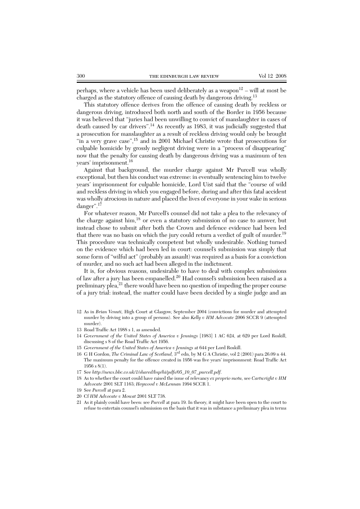perhaps, where a vehicle has been used deliberately as a weapon<sup>12</sup> – will at most be charged as the statutory offence of causing death by dangerous driving.<sup>13</sup>

This statutory offence derives from the offence of causing death by reckless or dangerous driving, introduced both north and south of the Border in 1956 because it was believed that "juries had been unwilling to convict of manslaughter in cases of death caused by car drivers".14 As recently as 1983, it was judicially suggested that a prosecution for manslaughter as a result of reckless driving would only be brought "in a very grave case",<sup>15</sup> and in 2001 Michael Christie wrote that prosecutions for culpable homicide by grossly negligent driving were in a "process of disappearing" now that the penalty for causing death by dangerous driving was a maximum of ten years' imprisonment.16

Against that background, the murder charge against Mr Purcell was wholly exceptional, but then his conduct was extreme: in eventually sentencing him to twelve years' imprisonment for culpable homicide, Lord Uist said that the "course of wild and reckless driving in which you engaged before, during and after this fatal accident was wholly atrocious in nature and placed the lives of everyone in your wake in serious danger".17

For whatever reason, Mr Purcell's counsel did not take a plea to the relevancy of the charge against him,<sup>18</sup> or even a statutory submission of no case to answer, but instead chose to submit after both the Crown and defence evidence had been led that there was no basis on which the jury could return a verdict of guilt of murder.<sup>19</sup> This procedure was technically competent but wholly undesirable. Nothing turned on the evidence which had been led in court: counsel's submission was simply that some form of "wilful act" (probably an assault) was required as a basis for a conviction of murder, and no such act had been alleged in the indictment.

It is, for obvious reasons, undesirable to have to deal with complex submissions of law after a jury has been empanelled.<sup>20</sup> Had counsel's submission been raised as a preliminary plea, $^{21}$  there would have been no question of impeding the proper course of a jury trial: instead, the matter could have been decided by a single judge and an

- 12 As in *Brian Venuti,* High Court at Glasgow, September 2004 (convictions for murder and attempted murder by driving into a group of persons). See also *Kelly v HM Advocate* 2006 SCCR 9 (attempted murder).
- 13 Road Traffic Act 1988 s 1, as amended.
- 14 *Government of the United States of America v Jennings* [1983] 1 AC 624, at 629 per Lord Roskill, discussing s 8 of the Road Traffic Act 1956.
- 15 *Government of the United States of America v Jennings* at 644 per Lord Roskill.
- 16 G H Gordon, *The Criminal Law of Scotland,* 3rd edn, by M G A Christie, vol 2 (2001) para 26.09 n 44. The maximum penalty for the offence created in 1956 was five years' imprisonment: Road Traffic Act 1956 s 8(1).
- 17 See *http://news.bbc.co.uk/1/shared/bsp/hi/pdfs/05\_10\_07\_purcell.pdf*.
- 18 As to whether the court could have raised the issue of relevancy *ex proprio motu,* see *Cartwright v HM Advocate* 2001 SLT 1163; *Heywood v McLennan* 1994 SCCR 1.
- 19 See *Purcell* at para 2.
- 20 Cf *HM Advocate v Mowat* 2001 SLT 738.
- 21 As it plainly could have been: see *Purcell* at para 19. In theory, it might have been open to the court to refuse to entertain counsel's submission on the basis that it was in substance a preliminary plea in terms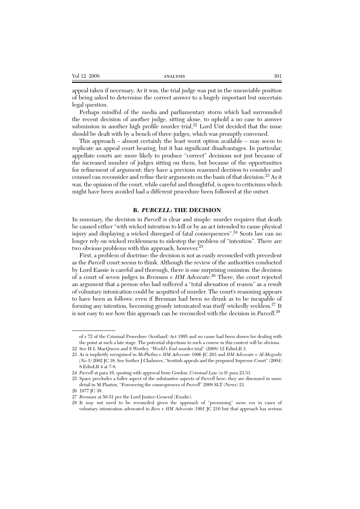| Vol 12 2008 | <b>ANALYSIS</b> | 301 |
|-------------|-----------------|-----|
|             |                 |     |

appeal taken if necessary. As it was, the trial judge was put in the unenviable position of being asked to determine the correct answer to a hugely important but uncertain legal question.

Perhaps mindful of the media and parliamentary storm which had surrounded the recent decision of another judge, sitting alone, to uphold a no case to answer submission in another high profile murder trial, $^{22}$  Lord Uist decided that the issue should be dealt with by a bench of three judges, which was promptly convened.

This approach – almost certainly the least worst option available – may seem to replicate an appeal court hearing, but it has significant disadvantages. In particular, appellate courts are more likely to produce "correct" decisions not just because of the increased number of judges sitting on them, but because of the opportunities for refinement of argument: they have a previous reasoned decision to consider and counsel can reconsider and refine their arguments on the basis of that decision.<sup>23</sup> As it was, the opinion of the court, while careful and thoughtful, is open to criticisms which might have been avoided had a different procedure been followed at the outset.

## **B.** *PURCELL***: THE DECISION**

In summary, the decision in *Purcell* is clear and simple: murder requires that death be caused either "with wicked intention to kill or by an act intended to cause physical injury and displaying a wicked disregard of fatal consequences".<sup>24</sup> Scots law can no longer rely on wicked recklessness to sidestep the problem of "intention". There are two obvious problems with this approach, however.<sup>25</sup>

First, a problem of doctrine: the decision is not as easily reconciled with precedent as the *Purcell* court seems to think. Although the review of the authorities conducted by Lord Eassie is careful and thorough, there is one surprising omission: the decision of a court of seven judges in *Brennan v HM Advocate*. <sup>26</sup> There, the court rejected an argument that a person who had suffered a "total alienation of reason" as a result of voluntary intoxication could be acquitted of murder. The court's reasoning appears to have been as follows: even if Brennan had been so drunk as to be incapable of forming any intention, becoming grossly intoxicated was *itself* wickedly reckless.27 It is not easy to see how this approach can be reconciled with the decision in *Purcell*. 28

of s 72 of the Criminal Procedure (Scotland) Act 1995 and no cause had been shown for dealing with the point at such a late stage. The potential objections to such a course in this context will be obvious.

<sup>22</sup> See H L MacQueen and S Wortley, "*World's End* murder trial" (2008) 12 EdinLR 3.

<sup>23</sup> As is implicitly recognised in *McPhelim v HM Advocate* 1996 JC 203 and *HM Advocate v Al-Megrahi (No 5)* 2002 JC 38. See further J Chalmers, "Scottish appeals and the proposed Supreme Court" (2004) 8 EdinLR 4 at 7-8.

<sup>24</sup> *Purcell* at para 16, quoting with approval from Gordon, *Criminal Law* (n 9) para 23.33.

<sup>25</sup> Space precludes a fuller aspect of the substantive aspects of *Purcell* here: they are discussed in more detail in M Plaxton, "Foreseeing the consequences of *Purcell*" 2008 SLT (News) 21.

<sup>26 1977</sup> JC 38.

<sup>27</sup> *Brennan* at 50-51 per the Lord Justice-General (Emslie).

<sup>28</sup> It may not need to be reconciled given the approach of "presuming" *mens rea* in cases of voluntary intoxication advocated in *Ross v HM Advocate* 1991 JC 210 but that approach has serious